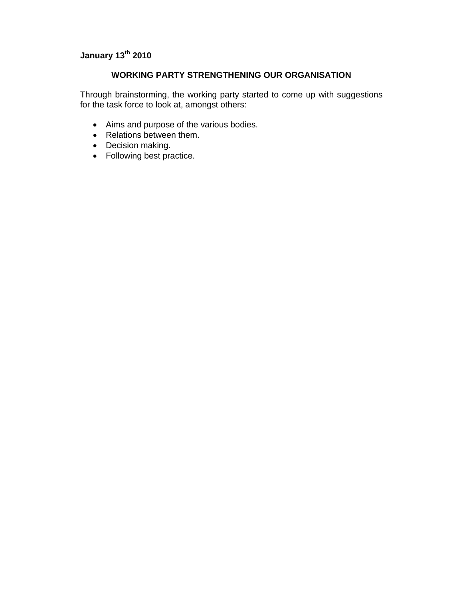# **January 13th 2010**

## **WORKING PARTY STRENGTHENING OUR ORGANISATION**

Through brainstorming, the working party started to come up with suggestions for the task force to look at, amongst others:

- Aims and purpose of the various bodies.
- Relations between them.
- Decision making.
- Following best practice.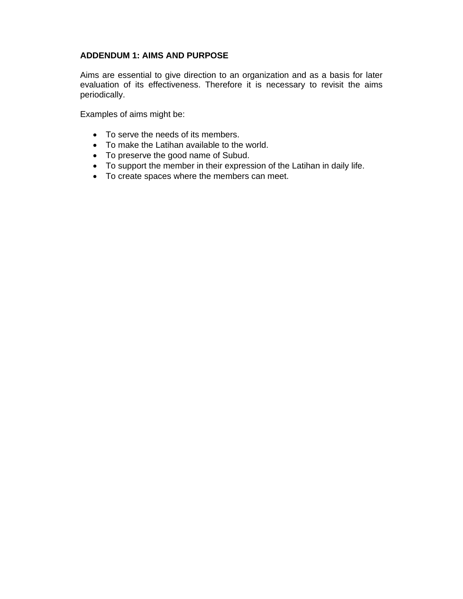## **ADDENDUM 1: AIMS AND PURPOSE**

Aims are essential to give direction to an organization and as a basis for later evaluation of its effectiveness. Therefore it is necessary to revisit the aims periodically.

Examples of aims might be:

- To serve the needs of its members.
- To make the Latihan available to the world.
- To preserve the good name of Subud.
- To support the member in their expression of the Latihan in daily life.
- To create spaces where the members can meet.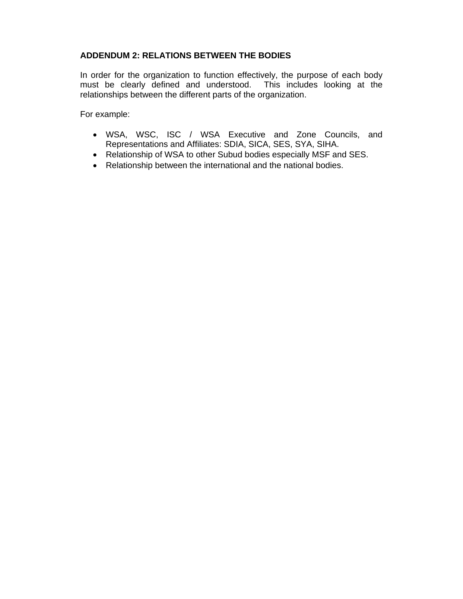## **ADDENDUM 2: RELATIONS BETWEEN THE BODIES**

In order for the organization to function effectively, the purpose of each body must be clearly defined and understood. This includes looking at the relationships between the different parts of the organization.

For example:

- WSA, WSC, ISC / WSA Executive and Zone Councils, and Representations and Affiliates: SDIA, SICA, SES, SYA, SIHA.
- Relationship of WSA to other Subud bodies especially MSF and SES.
- Relationship between the international and the national bodies.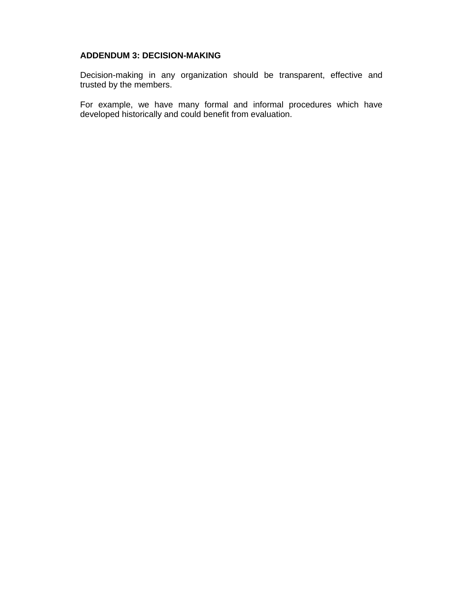## **ADDENDUM 3: DECISION-MAKING**

Decision-making in any organization should be transparent, effective and trusted by the members.

For example, we have many formal and informal procedures which have developed historically and could benefit from evaluation.